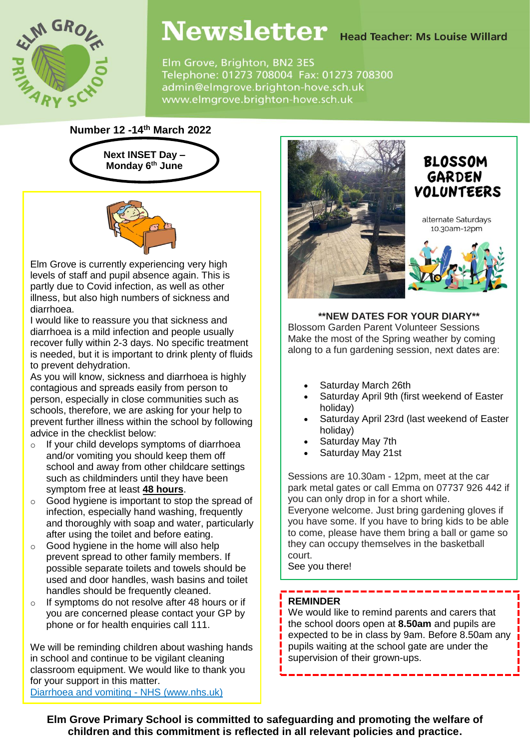

# Newsletter Head Teacher: Ms Louise Willard

Elm Grove, Brighton, BN2 3ES Telephone: 01273 708004 Fax: 01273 708300 admin@elmgrove.brighton-hove.sch.uk www.elmgrove.brighton-hove.sch.uk

# **Number 12 -14th March 2022**





Elm Grove is currently experiencing very high levels of staff and pupil absence again. This is partly due to Covid infection, as well as other illness, but also high numbers of sickness and diarrhoea.

I would like to reassure you that sickness and diarrhoea is a mild infection and people usually recover fully within 2-3 days. No specific treatment is needed, but it is important to drink plenty of fluids to prevent dehydration.

As you will know, sickness and diarrhoea is highly contagious and spreads easily from person to person, especially in close communities such as schools, therefore, we are asking for your help to prevent further illness within the school by following advice in the checklist below:

- o If your child develops symptoms of diarrhoea and/or vomiting you should keep them off school and away from other childcare settings such as childminders until they have been symptom free at least **48 hours**.
- o Good hygiene is important to stop the spread of infection, especially hand washing, frequently and thoroughly with soap and water, particularly after using the toilet and before eating.
- o Good hygiene in the home will also help prevent spread to other family members. If possible separate toilets and towels should be used and door handles, wash basins and toilet handles should be frequently cleaned.
- o If symptoms do not resolve after 48 hours or if you are concerned please contact your GP by phone or for health enquiries call 111.

We will be reminding children about washing hands in school and continue to be vigilant cleaning classroom equipment. We would like to thank you for your support in this matter. [Diarrhoea and vomiting -](https://www.nhs.uk/conditions/diarrhoea-and-vomiting/) NHS (www.nhs.uk)



**\*\*NEW DATES FOR YOUR DIARY\*\*** Blossom Garden Parent Volunteer Sessions Make the most of the Spring weather by coming along to a fun gardening session, next dates are:

- Saturday March 26th
- Saturday April 9th (first weekend of Easter holiday)
- Saturday April 23rd (last weekend of Easter holiday)
- Saturday May 7th
- Saturday May 21st

Sessions are 10.30am - 12pm, meet at the car park metal gates or call Emma on 07737 926 442 if you can only drop in for a short while.

Everyone welcome. Just bring gardening gloves if you have some. If you have to bring kids to be able to come, please have them bring a ball or game so they can occupy themselves in the basketball court.

See you there!

### **REMINDER**

We would like to remind parents and carers that the school doors open at **8.50am** and pupils are expected to be in class by 9am. Before 8.50am any pupils waiting at the school gate are under the supervision of their grown-ups.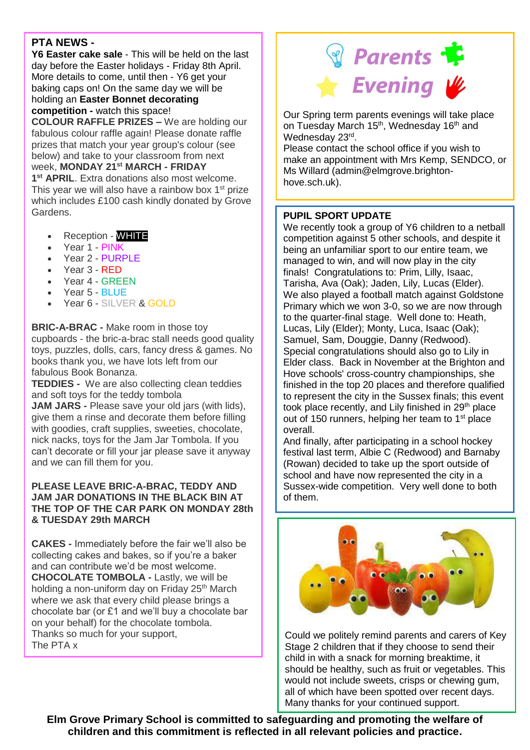# **PTA NEWS -**

**Y6 Easter cake sale** - This will be held on the last day before the Easter holidays - Friday 8th April. More details to come, until then - Y6 get your baking caps on! On the same day we will be holding an **Easter Bonnet decorating competition -** watch this space!

**COLOUR RAFFLE PRIZES –** We are holding our fabulous colour raffle again! Please donate raffle prizes that match your year group's colour (see below) and take to your classroom from next week, **MONDAY 21st MARCH - FRIDAY 1 st APRIL**. Extra donations also most welcome.

This year we will also have a rainbow box  $1<sup>st</sup>$  prize which includes £100 cash kindly donated by Grove Gardens.

- Reception WHITE
- Year 1 PINK
- Year 2 PURPLE
- Year 3 RED
- Year 4 GREEN
- Year 5 BLUE
- Year 6 SILVER & GOLD

**BRIC-A-BRAC -** Make room in those toy cupboards - the bric-a-brac stall needs good quality toys, puzzles, dolls, cars, fancy dress & games. No books thank you, we have lots left from our fabulous Book Bonanza.

**TEDDIES -** We are also collecting clean teddies and soft toys for the teddy tombola

**JAM JARS -** Please save your old jars (with lids), give them a rinse and decorate them before filling with goodies, craft supplies, sweeties, chocolate, nick nacks, toys for the Jam Jar Tombola. If you can't decorate or fill your jar please save it anyway and we can fill them for you.

#### **PLEASE LEAVE BRIC-A-BRAC, TEDDY AND JAM JAR DONATIONS IN THE BLACK BIN AT THE TOP OF THE CAR PARK ON MONDAY 28th & TUESDAY 29th MARCH**

**CAKES -** Immediately before the fair we'll also be collecting cakes and bakes, so if you're a baker and can contribute we'd be most welcome. **CHOCOLATE TOMBOLA -** Lastly, we will be holding a non-uniform day on Friday 25<sup>th</sup> March where we ask that every child please brings a chocolate bar (or £1 and we'll buy a chocolate bar on your behalf) for the chocolate tombola. Thanks so much for your support, The PTA x



Our Spring term parents evenings will take place on Tuesday March 15<sup>th</sup>, Wednesday 16<sup>th</sup> and Wednesday 23rd.

Please contact the school office if you wish to make an appointment with Mrs Kemp, SENDCO, or Ms Willard (admin@elmgrove.brightonhove.sch.uk).

## **PUPIL SPORT UPDATE**

We recently took a group of Y6 children to a netball competition against 5 other schools, and despite it being an unfamiliar sport to our entire team, we managed to win, and will now play in the city finals! Congratulations to: Prim, Lilly, Isaac, Tarisha, Ava (Oak); Jaden, Lily, Lucas (Elder). We also played a football match against Goldstone Primary which we won 3-0, so we are now through to the quarter-final stage. Well done to: Heath, Lucas, Lily (Elder); Monty, Luca, Isaac (Oak); Samuel, Sam, Douggie, Danny (Redwood). Special congratulations should also go to Lily in Elder class. Back in November at the Brighton and Hove schools' cross-country championships, she finished in the top 20 places and therefore qualified to represent the city in the Sussex finals; this event took place recently, and Lily finished in 29<sup>th</sup> place out of 150 runners, helping her team to 1<sup>st</sup> place overall.

And finally, after participating in a school hockey festival last term, Albie C (Redwood) and Barnaby (Rowan) decided to take up the sport outside of school and have now represented the city in a Sussex-wide competition. Very well done to both of them.



Could we politely remind parents and carers of Key Stage 2 children that if they choose to send their child in with a snack for morning breaktime, it should be healthy, such as fruit or vegetables. This would not include sweets, crisps or chewing gum, all of which have been spotted over recent days. Many thanks for your continued support.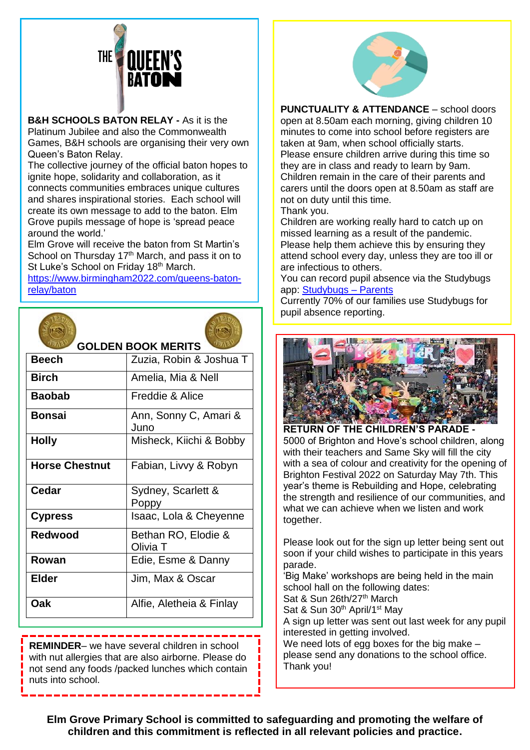

**B&H SCHOOLS BATON RELAY -** As it is the

Platinum Jubilee and also the Commonwealth Games, B&H schools are organising their very own Queen's Baton Relay.

The collective journey of the official baton hopes to ignite hope, solidarity and collaboration, as it connects communities embraces unique cultures and shares inspirational stories. Each school will create its own message to add to the baton. Elm Grove pupils message of hope is 'spread peace around the world.'

Elm Grove will receive the baton from St Martin's School on Thursday 17<sup>th</sup> March, and pass it on to St Luke's School on Friday 18<sup>th</sup> March.

[https://www.birmingham2022.com/queens-baton](https://www.birmingham2022.com/queens-baton-relay/baton)[relay/baton](https://www.birmingham2022.com/queens-baton-relay/baton)



**REMINDER**– we have several children in school with nut allergies that are also airborne. Please do not send any foods /packed lunches which contain nuts into school.



**PUNCTUALITY & ATTENDANCE** – school doors open at 8.50am each morning, giving children 10 minutes to come into school before registers are taken at 9am, when school officially starts. Please ensure children arrive during this time so they are in class and ready to learn by 9am. Children remain in the care of their parents and carers until the doors open at 8.50am as staff are not on duty until this time. Thank you.

Children are working really hard to catch up on missed learning as a result of the pandemic. Please help them achieve this by ensuring they attend school every day, unless they are too ill or are infectious to others.

You can record pupil absence via the Studybugs app: [Studybugs –](https://studybugs.com/about/parents) Parents

Currently 70% of our families use Studybugs for pupil absence reporting.



**RETURN OF THE CHILDREN'S PARADE -** 5000 of Brighton and Hove's school children, along with their teachers and Same Sky will fill the city with a sea of colour and creativity for the opening of Brighton Festival 2022 on Saturday May 7th. This year's theme is Rebuilding and Hope, celebrating the strength and resilience of our communities, and what we can achieve when we listen and work together.

Please look out for the sign up letter being sent out soon if your child wishes to participate in this years parade.

'Big Make' workshops are being held in the main school hall on the following dates:

Sat & Sun 26th/27<sup>th</sup> March

Sat & Sun 30<sup>th</sup> April/1<sup>st</sup> May

A sign up letter was sent out last week for any pupil interested in getting involved.

We need lots of egg boxes for the big make – please send any donations to the school office. Thank you!